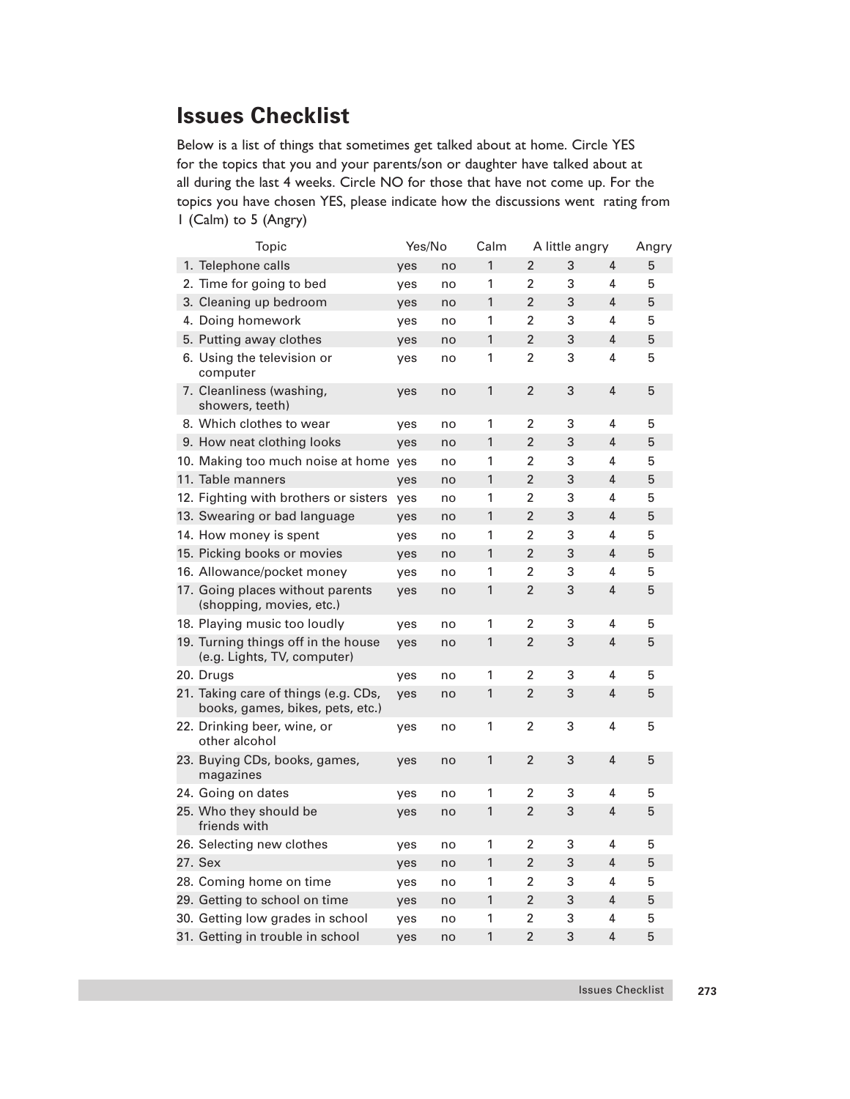## **Issues Checklist**

Below is a list of things that sometimes get talked about at home. Circle YES for the topics that you and your parents/son or daughter have talked about at all during the last 4 weeks. Circle NO for those that have not come up. For the topics you have chosen YES, please indicate how the discussions went rating from 1 (Calm) to 5 (Angry)

| Topic                                                                    | Yes/No |    | Calm<br>A little angry |                |   | Angry          |   |
|--------------------------------------------------------------------------|--------|----|------------------------|----------------|---|----------------|---|
| 1. Telephone calls                                                       | yes    | no | 1                      | $\overline{2}$ | 3 | 4              | 5 |
| 2. Time for going to bed                                                 | yes    | no | 1                      | 2              | 3 | 4              | 5 |
| 3. Cleaning up bedroom                                                   | yes    | no | $\mathbf{1}$           | $\overline{2}$ | 3 | 4              | 5 |
| 4. Doing homework                                                        | yes    | no | 1                      | $\overline{2}$ | 3 | 4              | 5 |
| 5. Putting away clothes                                                  | yes    | no | 1                      | $\overline{2}$ | 3 | $\overline{4}$ | 5 |
| 6. Using the television or<br>computer                                   | yes    | no | 1                      | $\overline{2}$ | 3 | 4              | 5 |
| 7. Cleanliness (washing,<br>showers, teeth)                              | yes    | no | 1                      | $\overline{2}$ | 3 | 4              | 5 |
| 8. Which clothes to wear                                                 | yes    | no | 1                      | 2              | 3 | 4              | 5 |
| 9. How neat clothing looks                                               | yes    | no | 1                      | $\overline{2}$ | 3 | 4              | 5 |
| 10. Making too much noise at home                                        | yes    | no | 1                      | 2              | 3 | 4              | 5 |
| 11. Table manners                                                        | yes    | no | 1                      | $\overline{2}$ | 3 | 4              | 5 |
| 12. Fighting with brothers or sisters                                    | yes    | no | 1                      | $\overline{2}$ | 3 | 4              | 5 |
| 13. Swearing or bad language                                             | yes    | no | 1                      | $\overline{2}$ | 3 | 4              | 5 |
| 14. How money is spent                                                   | yes    | no | 1                      | $\overline{2}$ | 3 | 4              | 5 |
| 15. Picking books or movies                                              | yes    | no | 1                      | $\overline{2}$ | 3 | 4              | 5 |
| 16. Allowance/pocket money                                               | yes    | no | 1                      | 2              | 3 | 4              | 5 |
| 17. Going places without parents<br>(shopping, movies, etc.)             | yes    | no | 1                      | $\overline{2}$ | 3 | 4              | 5 |
| 18. Playing music too loudly                                             | yes    | no | 1                      | $\overline{2}$ | 3 | 4              | 5 |
| 19. Turning things off in the house<br>(e.g. Lights, TV, computer)       | yes    | no | 1                      | $\overline{2}$ | 3 | 4              | 5 |
| 20. Drugs                                                                | yes    | no | 1                      | 2              | 3 | 4              | 5 |
| 21. Taking care of things (e.g. CDs,<br>books, games, bikes, pets, etc.) | yes    | no | 1                      | $\overline{2}$ | 3 | 4              | 5 |
| 22. Drinking beer, wine, or<br>other alcohol                             | yes    | no | 1                      | $\overline{2}$ | 3 | 4              | 5 |
| 23. Buying CDs, books, games,<br>magazines                               | yes    | no | 1                      | $\overline{2}$ | 3 | 4              | 5 |
| 24. Going on dates                                                       | yes    | no | 1                      | 2              | 3 | 4              | 5 |
| 25. Who they should be<br>friends with                                   | yes    | no | $\mathbf{1}$           | $\overline{2}$ | 3 | 4              | 5 |
| 26. Selecting new clothes                                                | yes    | no | 1                      | 2              | 3 | 4              | 5 |
| 27. Sex                                                                  | yes    | no | $\mathbf{1}$           | $\overline{2}$ | 3 | 4              | 5 |
| 28. Coming home on time                                                  | yes    | no | 1                      | 2              | 3 | 4              | 5 |
| 29. Getting to school on time                                            | yes    | no | 1                      | $\overline{2}$ | 3 | 4              | 5 |
| 30. Getting low grades in school                                         | yes    | no | 1                      | $\overline{2}$ | 3 | 4              | 5 |
| 31. Getting in trouble in school                                         | yes    | no | 1                      | $\overline{2}$ | 3 | 4              | 5 |